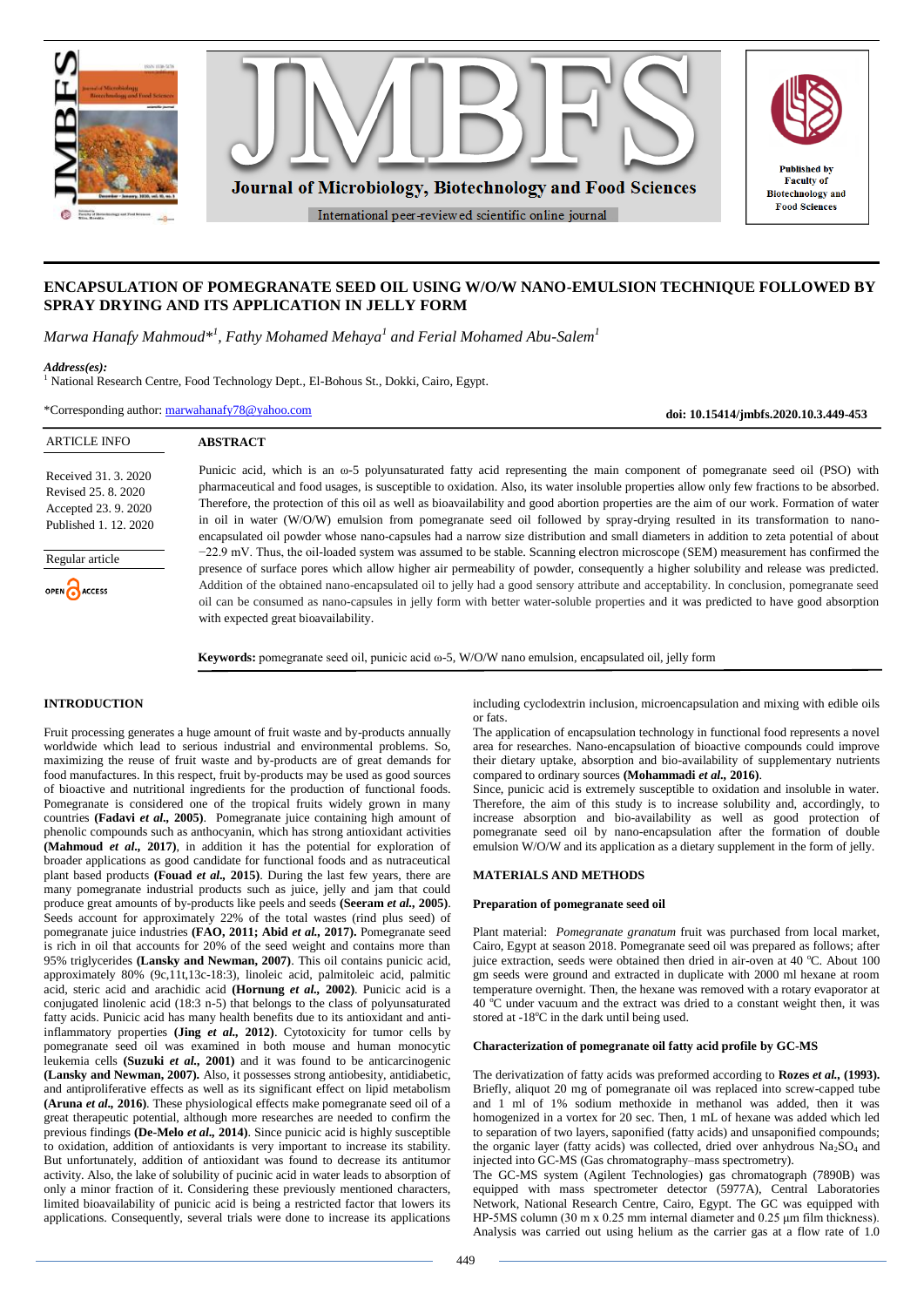

# **ENCAPSULATION OF POMEGRANATE SEED OIL USING W/O/W NANO-EMULSION TECHNIQUE FOLLOWED BY SPRAY DRYING AND ITS APPLICATION IN JELLY FORM**

*Marwa Hanafy Mahmoud\*<sup>1</sup> , Fathy Mohamed Mehaya<sup>1</sup> and Ferial Mohamed Abu-Salem<sup>1</sup>*

*Address(es):*

<sup>1</sup> National Research Centre, Food Technology Dept., El-Bohous St., Dokki, Cairo, Egypt.

\*Corresponding author: [marwahanafy78@yahoo.com](mailto:marwahanafy78@yahoo.com)

**doi: 10.15414/jmbfs.2020.10.3.449-453**

| <b>ARTICLE INFO</b>                                                                      | <b>ABSTRACT</b>                                                                                                                                                                                                                                                                                                                                                                                                                                                                                                                                                                                                                                                                                        |
|------------------------------------------------------------------------------------------|--------------------------------------------------------------------------------------------------------------------------------------------------------------------------------------------------------------------------------------------------------------------------------------------------------------------------------------------------------------------------------------------------------------------------------------------------------------------------------------------------------------------------------------------------------------------------------------------------------------------------------------------------------------------------------------------------------|
| Received 31, 3, 2020<br>Revised 25, 8, 2020<br>Accepted 23.9.2020<br>Published 1.12.2020 | Punicic acid, which is an $\omega$ -5 polyunsaturated fatty acid representing the main component of pomegranate seed oil (PSO) with<br>pharmaceutical and food usages, is susceptible to oxidation. Also, its water insoluble properties allow only few fractions to be absorbed.<br>Therefore, the protection of this oil as well as bioavailability and good abortion properties are the aim of our work. Formation of water<br>in oil in water (W/O/W) emulsion from pomegranate seed oil followed by spray-drying resulted in its transformation to nano-<br>encapsulated oil powder whose nano-capsules had a narrow size distribution and small diameters in addition to zeta potential of about |
| Regular article                                                                          | $-22.9$ mV. Thus, the oil-loaded system was assumed to be stable. Scanning electron microscope (SEM) measurement has confirmed the<br>presence of surface pores which allow higher air permeability of powder, consequently a higher solubility and release was predicted.                                                                                                                                                                                                                                                                                                                                                                                                                             |
| OPEN CACCESS                                                                             | Addition of the obtained nano-encapsulated oil to jelly had a good sensory attribute and acceptability. In conclusion, pomegranate seed<br>oil can be consumed as nano-capsules in jelly form with better water-soluble properties and it was predicted to have good absorption<br>with expected great bioavailability.                                                                                                                                                                                                                                                                                                                                                                                |

**Keywords:** pomegranate seed oil, punicic acid ω-5, W/O/W nano emulsion, encapsulated oil, jelly form

# **INTRODUCTION**

Fruit processing generates a huge amount of fruit waste and by-products annually worldwide which lead to serious industrial and environmental problems. So, maximizing the reuse of fruit waste and by-products are of great demands for food manufactures. In this respect, fruit by-products may be used as good sources of bioactive and nutritional ingredients for the production of functional foods. Pomegranate is considered one of the tropical fruits widely grown in many countries **(Fadavi** *et al.,* **2005)**. Pomegranate juice containing high amount of phenolic compounds such as anthocyanin, which has strong antioxidant activities **(Mahmoud** *et al.,* **2017)**, in addition it has the potential for exploration of broader applications as good candidate for functional foods and as nutraceutical plant based products **(Fouad** *et al.,* **2015)**. During the last few years, there are many pomegranate industrial products such as juice, jelly and jam that could produce great amounts of by-products like peels and seeds **(Seeram** *et al.,* **2005)**. Seeds account for approximately 22% of the total wastes (rind plus seed) of pomegranate juice industries **(FAO, 2011; Abid** *et al.,* **2017).** Pomegranate seed is rich in oil that accounts for 20% of the seed weight and contains more than 95% triglycerides **(Lansky and Newman, 2007)**. This oil contains punicic acid, approximately 80% (9c,11t,13c-18:3), linoleic acid, palmitoleic acid, palmitic acid, steric acid and arachidic acid **(Hornung** *et al.,* **2002)**. Punicic acid is a conjugated linolenic acid (18:3 n-5) that belongs to the class of polyunsaturated fatty acids. Punicic acid has many health benefits due to its antioxidant and antiinflammatory properties **(Jing** *et al.,* **2012)**. Cytotoxicity for tumor cells by pomegranate seed oil was examined in both mouse and human monocytic leukemia cells **(Suzuki** *et al.,* **2001)** and it was found to be anticarcinogenic **(Lansky and Newman, 2007).** Also, it possesses strong antiobesity, antidiabetic, and antiproliferative effects as well as its significant effect on lipid metabolism **(Aruna** *et al.,* **2016)**. These physiological effects make pomegranate seed oil of a great therapeutic potential, although more researches are needed to confirm the previous findings **(De-Melo** *et al.,* **2014)**. Since punicic acid is highly susceptible to oxidation, addition of antioxidants is very important to increase its stability. But unfortunately, addition of antioxidant was found to decrease its antitumor activity. Also, the lake of solubility of pucinic acid in water leads to absorption of only a minor fraction of it. Considering these previously mentioned characters, limited bioavailability of punicic acid is being a restricted factor that lowers its applications. Consequently, several trials were done to increase its applications

including cyclodextrin inclusion, microencapsulation and mixing with edible oils or fats.

The application of encapsulation technology in functional food represents a novel area for researches. Nano-encapsulation of bioactive compounds could improve their dietary uptake, absorption and bio-availability of supplementary nutrients compared to ordinary sources **(Mohammadi** *et al.,* **2016)**.

Since, punicic acid is extremely susceptible to oxidation and insoluble in water. Therefore, the aim of this study is to increase solubility and, accordingly, to increase absorption and bio-availability as well as good protection of pomegranate seed oil by nano-encapsulation after the formation of double emulsion W/O/W and its application as a dietary supplement in the form of jelly.

# **MATERIALS AND METHODS**

### **Preparation of pomegranate seed oil**

Plant material: *Pomegranate granatum* fruit was purchased from local market, Cairo, Egypt at season 2018. Pomegranate seed oil was prepared as follows; after juice extraction, seeds were obtained then dried in air-oven at 40  $^{\circ}$ C. About 100 gm seeds were ground and extracted in duplicate with 2000 ml hexane at room temperature overnight. Then, the hexane was removed with a rotary evaporator at  $40^{\circ}$ C under vacuum and the extract was dried to a constant weight then, it was stored at -18°C in the dark until being used.

# **Characterization of pomegranate oil fatty acid profile by GC-MS**

The derivatization of fatty acids was preformed according to **Rozes** *et al.,* **(1993).** Briefly, aliquot 20 mg of pomegranate oil was replaced into screw-capped tube and 1 ml of 1% sodium methoxide in methanol was added, then it was homogenized in a vortex for 20 sec. Then, 1 mL of hexane was added which led to separation of two layers, saponified (fatty acids) and unsaponified compounds; the organic layer (fatty acids) was collected, dried over anhydrous  $Na<sub>2</sub>SO<sub>4</sub>$  and injected into GC-MS (Gas chromatography–mass spectrometry).

The GC-MS system (Agilent Technologies) gas chromatograph (7890B) was equipped with mass spectrometer detector (5977A), Central Laboratories Network, National Research Centre, Cairo, Egypt. The GC was equipped with HP-5MS column (30 m x 0.25 mm internal diameter and 0.25 μm film thickness). Analysis was carried out using helium as the carrier gas at a flow rate of 1.0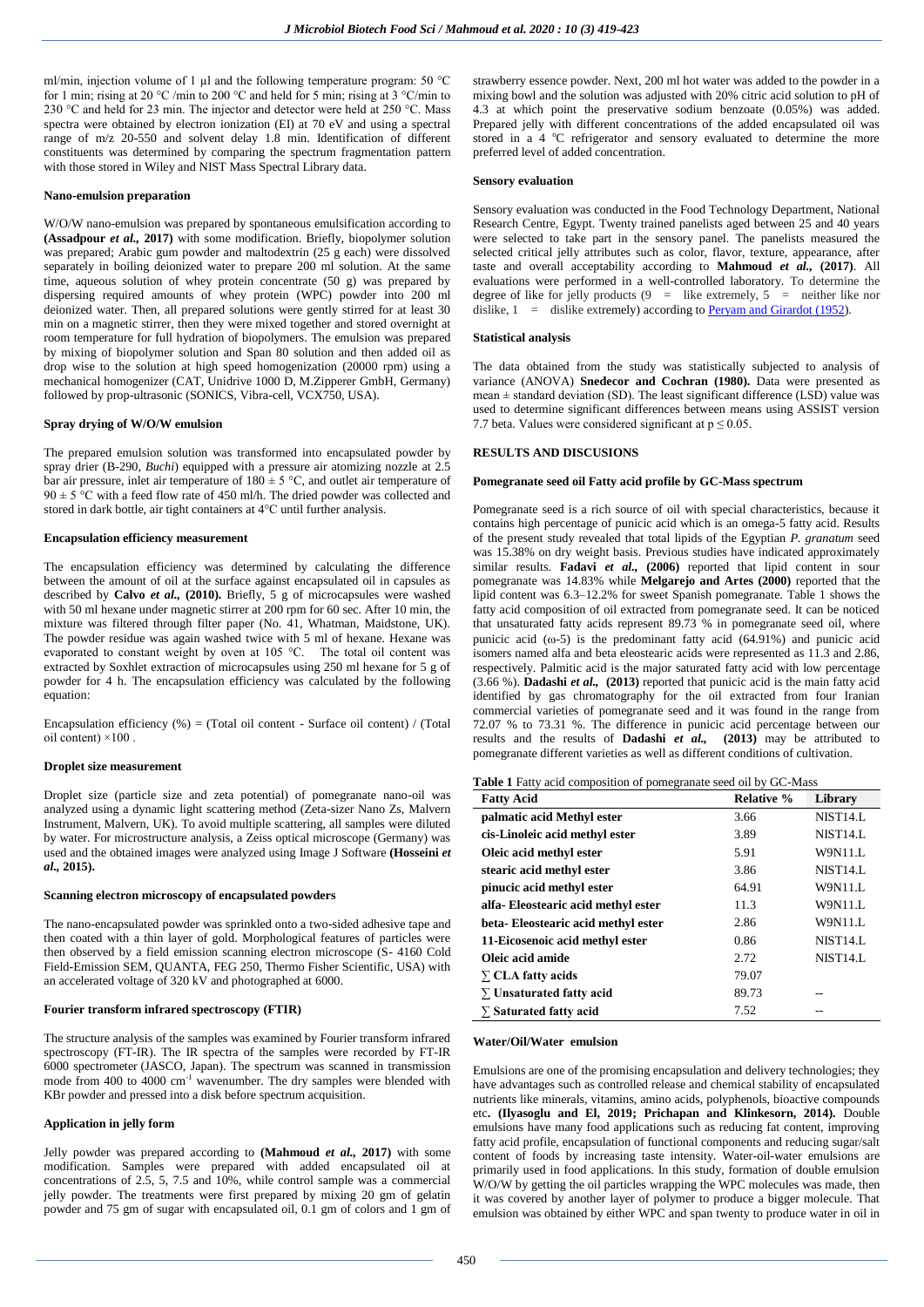ml/min, injection volume of 1  $\mu$ l and the following temperature program: 50 °C for 1 min; rising at 20 °C /min to 200 °C and held for 5 min; rising at 3 °C/min to 230 °C and held for 23 min. The injector and detector were held at 250 °C. Mass spectra were obtained by electron ionization (EI) at 70 eV and using a spectral range of m/z 20-550 and solvent delay 1.8 min. Identification of different constituents was determined by comparing the spectrum fragmentation pattern with those stored in Wiley and NIST Mass Spectral Library data.

### **Nano-emulsion preparation**

W/O/W nano-emulsion was prepared by spontaneous emulsification according to **(Assadpour** *et al.,* **2017)** with some modification. Briefly, biopolymer solution was prepared; Arabic gum powder and maltodextrin (25 g each) were dissolved separately in boiling deionized water to prepare 200 ml solution. At the same time, aqueous solution of whey protein concentrate (50 g) was prepared by dispersing required amounts of whey protein (WPC) powder into 200 ml deionized water. Then, all prepared solutions were gently stirred for at least 30 min on a magnetic stirrer, then they were mixed together and stored overnight at room temperature for full hydration of biopolymers. The emulsion was prepared by mixing of biopolymer solution and Span 80 solution and then added oil as drop wise to the solution at high speed homogenization (20000 rpm) using a mechanical homogenizer (CAT, Unidrive 1000 D, M.Zipperer GmbH, Germany) followed by prop-ultrasonic (SONICS, Vibra-cell, VCX750, USA).

# **Spray drying of W/O/W emulsion**

The prepared emulsion solution was transformed into encapsulated powder by spray drier (B-290, *Buchi*) equipped with a pressure air atomizing nozzle at 2.5 bar air pressure, inlet air temperature of  $180 \pm 5$  °C, and outlet air temperature of  $90 \pm 5$  °C with a feed flow rate of 450 ml/h. The dried powder was collected and stored in dark bottle, air tight containers at 4°C until further analysis.

# **Encapsulation efficiency measurement**

The encapsulation efficiency was determined by calculating the difference between the amount of oil at the surface against encapsulated oil in capsules as described by **Calvo** *et al.,* **(2010).** Briefly, 5 g of microcapsules were washed with 50 ml hexane under magnetic stirrer at 200 rpm for 60 sec. After 10 min, the mixture was filtered through filter paper (No. 41, Whatman, Maidstone, UK). The powder residue was again washed twice with 5 ml of hexane. Hexane was evaporated to constant weight by oven at 105 °C. The total oil content was extracted by Soxhlet extraction of microcapsules using 250 ml hexane for 5 g of powder for 4 h. The encapsulation efficiency was calculated by the following equation:

Encapsulation efficiency  $(\%)$  = (Total oil content - Surface oil content) / (Total oil content)  $\times$ 100.

#### **Droplet size measurement**

Droplet size (particle size and zeta potential) of pomegranate nano-oil was analyzed using a dynamic light scattering method (Zeta-sizer Nano Zs, Malvern Instrument, Malvern, UK). To avoid multiple scattering, all samples were diluted by water. For microstructure analysis, a Zeiss optical microscope (Germany) was used and the obtained images were analyzed using Image J Software **(Hosseini** *et al.,* **2015).**

### **Scanning electron microscopy of encapsulated powders**

The nano-encapsulated powder was sprinkled onto a two-sided adhesive tape and then coated with a thin layer of gold. Morphological features of particles were then observed by a field emission scanning electron microscope (S- 4160 Cold Field-Emission SEM, QUANTA, FEG 250, Thermo Fisher Scientific, USA) with an accelerated voltage of 320 kV and photographed at 6000.

## **Fourier transform infrared spectroscopy (FTIR)**

The structure analysis of the samples was examined by Fourier transform infrared spectroscopy (FT-IR). The IR spectra of the samples were recorded by FT-IR 6000 spectrometer (JASCO, Japan). The spectrum was scanned in transmission mode from  $400$  to  $4000 \text{ cm}^{-1}$  wavenumber. The dry samples were blended with KBr powder and pressed into a disk before spectrum acquisition.

# **Application in jelly form**

Jelly powder was prepared according to **(Mahmoud** *et al.,* **2017)** with some modification. Samples were prepared with added encapsulated oil at concentrations of  $2.5$ ,  $5$ ,  $7.5$  and  $10\%$ , while control sample was a commercial jelly powder. The treatments were first prepared by mixing 20 gm of gelatin powder and 75 gm of sugar with encapsulated oil, 0.1 gm of colors and 1 gm of

strawberry essence powder. Next, 200 ml hot water was added to the powder in a mixing bowl and the solution was adjusted with 20% citric acid solution to pH of 4.3 at which point the preservative sodium benzoate (0.05%) was added. Prepared jelly with different concentrations of the added encapsulated oil was stored in a 4 °C refrigerator and sensory evaluated to determine the more preferred level of added concentration.

#### **Sensory evaluation**

Sensory evaluation was conducted in the Food Technology Department, National Research Centre, Egypt. Twenty trained panelists aged between 25 and 40 years were selected to take part in the sensory panel. The panelists measured the selected critical jelly attributes such as color, flavor, texture, appearance, after taste and overall acceptability according to **Mahmoud** *et al.,* **(2017)**. All evaluations were performed in a well-controlled laboratory. To determine the degree of like for jelly products  $(9 =$  like extremely,  $5 =$  neither like nor dislike,  $1 =$  dislike extremely) according t[o Peryam and Girardot \(1952\)](https://onlinelibrary.wiley.com/doi/full/10.1111/j.1745-4557.2005.00014.x#b18).

#### **Statistical analysis**

The data obtained from the study was statistically subjected to analysis of variance (ANOVA) **Snedecor and Cochran (1980).** Data were presented as mean  $\pm$  standard deviation (SD). The least significant difference (LSD) value was used to determine significant differences between means using ASSIST version 7.7 beta. Values were considered significant at  $p \le 0.05$ .

# **RESULTS AND DISCUSIONS**

### **Pomegranate seed oil Fatty acid profile by GC-Mass spectrum**

Pomegranate seed is a rich source of oil with special characteristics, because it contains high percentage of punicic acid which is an omega-5 fatty acid. Results of the present study revealed that total lipids of the Egyptian *P. granatum* seed was 15.38% on dry weight basis. Previous studies have indicated approximately similar results. **Fadavi** *et al.,* **(2006)** reported that lipid content in sour pomegranate was 14.83% while **Melgarejo and Artes (2000)** reported that the lipid content was 6.3–12.2% for sweet Spanish pomegranate. Table 1 shows the fatty acid composition of oil extracted from pomegranate seed. It can be noticed that unsaturated fatty acids represent 89.73 % in pomegranate seed oil, where punicic acid  $(ω-5)$  is the predominant fatty acid  $(64.91%)$  and punicic acid isomers named alfa and beta eleostearic acids were represented as 11.3 and 2.86, respectively. Palmitic acid is the major saturated fatty acid with low percentage (3.66 %). **Dadashi** *et al.,* **(2013)** reported that punicic acid is the main fatty acid identified by gas chromatography for the oil extracted from four Iranian commercial varieties of pomegranate seed and it was found in the range from 72.07 % to 73.31 %. The difference in punicic acid percentage between our results and the results of **Dadashi** *et al.,* **(2013)** may be attributed to pomegranate different varieties as well as different conditions of cultivation.

|  |  | <b>Table 1</b> Fatty acid composition of pomegranate seed oil by GC-Mass |  |
|--|--|--------------------------------------------------------------------------|--|
|  |  |                                                                          |  |

| <b>Fatty Acid</b>                  | <b>Relative %</b> | Library              |
|------------------------------------|-------------------|----------------------|
| palmatic acid Methyl ester         | 3.66              | NIST <sub>14.L</sub> |
| cis-Linoleic acid methyl ester     | 3.89              | NIST14.L             |
| Oleic acid methyl ester            | 5.91              | W9N11.L              |
| stearic acid methyl ester          | 3.86              | NIST14.L             |
| pinucic acid methyl ester          | 64.91             | W9N11.L              |
| alfa-Eleostearic acid methyl ester | 11.3              | W9N11.L              |
| beta-Eleostearic acid methyl ester | 2.86              | W9N11.L              |
| 11-Eicosenoic acid methyl ester    | 0.86              | NIST14.L             |
| Oleic acid amide                   | 2.72              | NIST14.L             |
| $\Sigma$ CLA fatty acids           | 79.07             |                      |
| $\Sigma$ Unsaturated fatty acid    | 89.73             |                      |
| $\Sigma$ Saturated fatty acid      | 7.52              |                      |

### **Water/Oil/Water emulsion**

Emulsions are one of the promising encapsulation and delivery technologies; they have advantages such as controlled release and chemical stability of encapsulated nutrients like minerals, vitamins, amino acids, polyphenols, bioactive compounds etc**. (Ilyasoglu and El, 2019; Prichapan and Klinkesorn, 2014).** Double emulsions have many food applications such as reducing fat content, improving fatty acid profile, encapsulation of functional components and reducing sugar/salt content of foods by increasing taste intensity. Water-oil-water emulsions are primarily used in food applications. In this study, formation of double emulsion W/O/W by getting the oil particles wrapping the WPC molecules was made, then it was covered by another layer of polymer to produce a bigger molecule. That emulsion was obtained by either WPC and span twenty to produce water in oil in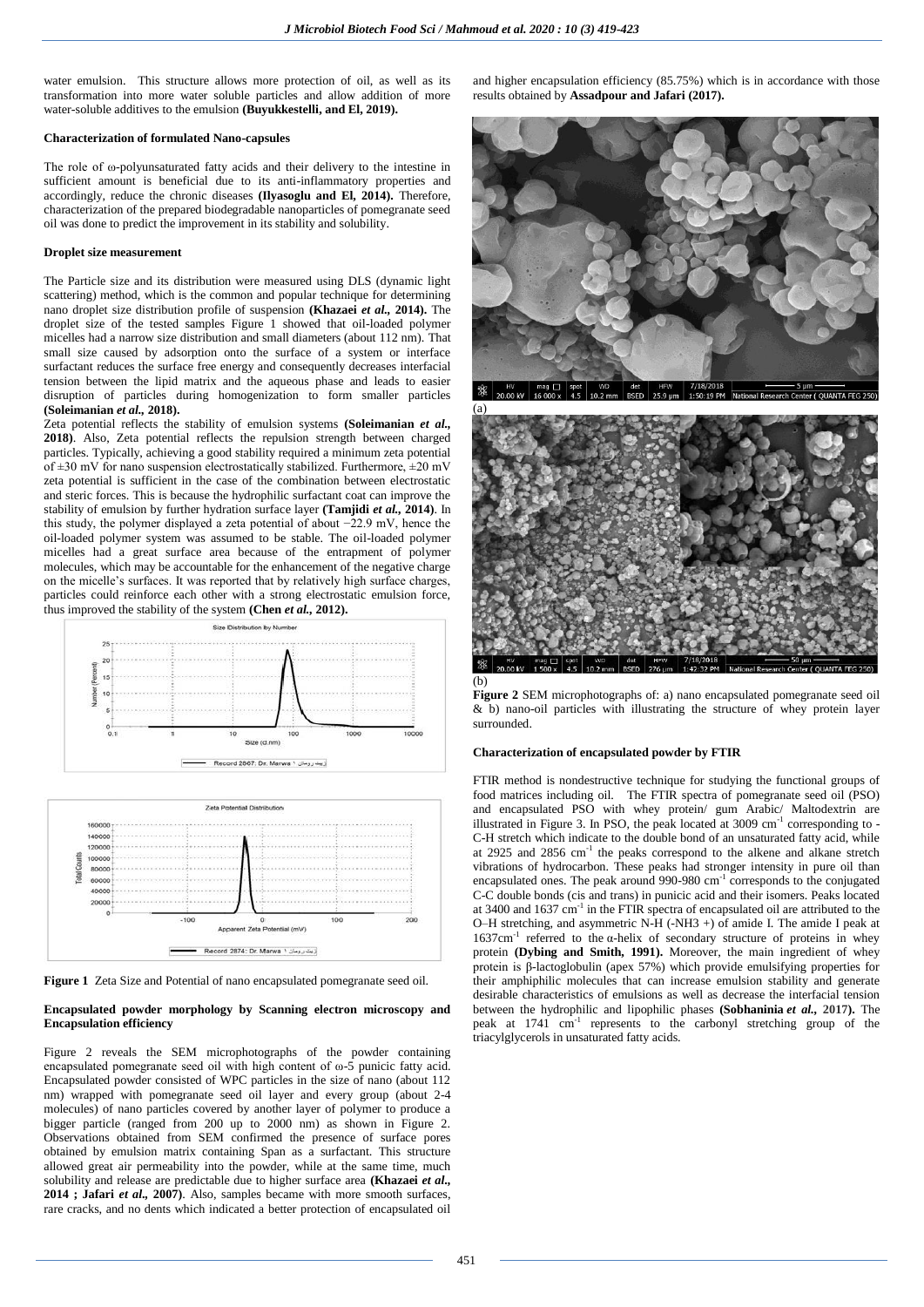water emulsion. This structure allows more protection of oil, as well as its transformation into more water soluble particles and allow addition of more water-soluble additives to the emulsion **(Buyukkestelli, and El, 2019).**

#### **Characterization of formulated Nano-capsules**

The role of ω-polyunsaturated fatty acids and their delivery to the intestine in sufficient amount is beneficial due to its anti-inflammatory properties and accordingly, reduce the chronic diseases **(Ilyasoglu and El, 2014).** Therefore, characterization of the prepared biodegradable nanoparticles of pomegranate seed oil was done to predict the improvement in its stability and solubility.

#### **Droplet size measurement**

The Particle size and its distribution were measured using DLS (dynamic light scattering) method, which is the common and popular technique for determining nano droplet size distribution profile of suspension **(Khazaei** *et al.,* **2014).** The droplet size of the tested samples Figure 1 showed that oil-loaded polymer micelles had a narrow size distribution and small diameters (about 112 nm). That small size caused by adsorption onto the surface of a system or interface surfactant reduces the surface free energy and consequently decreases interfacial tension between the lipid matrix and the aqueous phase and leads to easier disruption of particles during homogenization to form smaller particles **(Soleimanian** *et al.,* **2018).**

Zeta potential reflects the stability of emulsion systems **(Soleimanian** *et al.,* **2018)**. Also, Zeta potential reflects the repulsion strength between charged particles. Typically, achieving a good stability required a minimum zeta potential of  $\pm 30$  mV for nano suspension electrostatically stabilized. Furthermore,  $\pm 20$  mV zeta potential is sufficient in the case of the combination between electrostatic and steric forces. This is because the hydrophilic surfactant coat can improve the stability of emulsion by further hydration surface layer **(Tamjidi** *et al.,* **2014)**. In this study, the polymer displayed a zeta potential of about −22.9 mV, hence the oil-loaded polymer system was assumed to be stable. The oil-loaded polymer micelles had a great surface area because of the entrapment of polymer molecules, which may be accountable for the enhancement of the negative charge on the micelle's surfaces. It was reported that by relatively high surface charges, particles could reinforce each other with a strong electrostatic emulsion force, thus improved the stability of the system **(Chen** *et al.,* **2012).**





**Figure 1** Zeta Size and Potential of nano encapsulated pomegranate seed oil.

# **Encapsulated powder morphology by Scanning electron microscopy and Encapsulation efficiency**

Figure 2 reveals the SEM microphotographs of the powder containing encapsulated pomegranate seed oil with high content of ω-5 punicic fatty acid. Encapsulated powder consisted of WPC particles in the size of nano (about 112 nm) wrapped with pomegranate seed oil layer and every group (about 2-4 molecules) of nano particles covered by another layer of polymer to produce a bigger particle (ranged from 200 up to 2000 nm) as shown in Figure 2. Observations obtained from SEM confirmed the presence of surface pores obtained by emulsion matrix containing Span as a surfactant. This structure allowed great air permeability into the powder, while at the same time, much solubility and release are predictable due to higher surface area **(Khazaei** *et al.,* **2014 ; Jafari** *et al.,* **2007)**. Also, samples became with more smooth surfaces, rare cracks, and no dents which indicated a better protection of encapsulated oil

and higher encapsulation efficiency (85.75%) which is in accordance with those results obtained by **Assadpour and Jafari (2017).**





**Figure 2** SEM microphotographs of: a) nano encapsulated pomegranate seed oil & b) nano-oil particles with illustrating the structure of whey protein layer surrounded.

### **Characterization of encapsulated powder by FTIR**

FTIR method is nondestructive technique for studying the functional groups of food matrices including oil. The FTIR spectra of pomegranate seed oil (PSO) and encapsulated PSO with whey protein/ gum Arabic/ Maltodextrin are illustrated in Figure 3. In PSO, the peak located at  $3009 \text{ cm}^{-1}$  corresponding to -C-H stretch which indicate to the double bond of an unsaturated fatty acid, while at 2925 and 2856 cm<sup>-1</sup> the peaks correspond to the alkene and alkane stretch vibrations of hydrocarbon. These peaks had stronger intensity in pure oil than encapsulated ones. The peak around 990-980 cm<sup>-1</sup> corresponds to the conjugated C-C double bonds (cis and trans) in punicic acid and their isomers. Peaks located at 3400 and 1637 cm<sup>-1</sup> in the FTIR spectra of encapsulated oil are attributed to the O–H stretching, and asymmetric N-H (-NH3 +) of amide I. The amide I peak at  $1637$ cm<sup>-1</sup> referred to the α-helix of secondary structure of proteins in whey protein **(Dybing and Smith, 1991).** Moreover, the main ingredient of whey protein is β-lactoglobulin (apex 57%) which provide emulsifying properties for their amphiphilic molecules that can increase emulsion stability and generate desirable characteristics of emulsions as well as decrease the interfacial tension between the hydrophilic and lipophilic phases **(Sobhaninia** *et al.,* **2017).** The peak at 1741 cm<sup>-1</sup> represents to the carbonyl stretching group of the triacylglycerols in unsaturated fatty acids.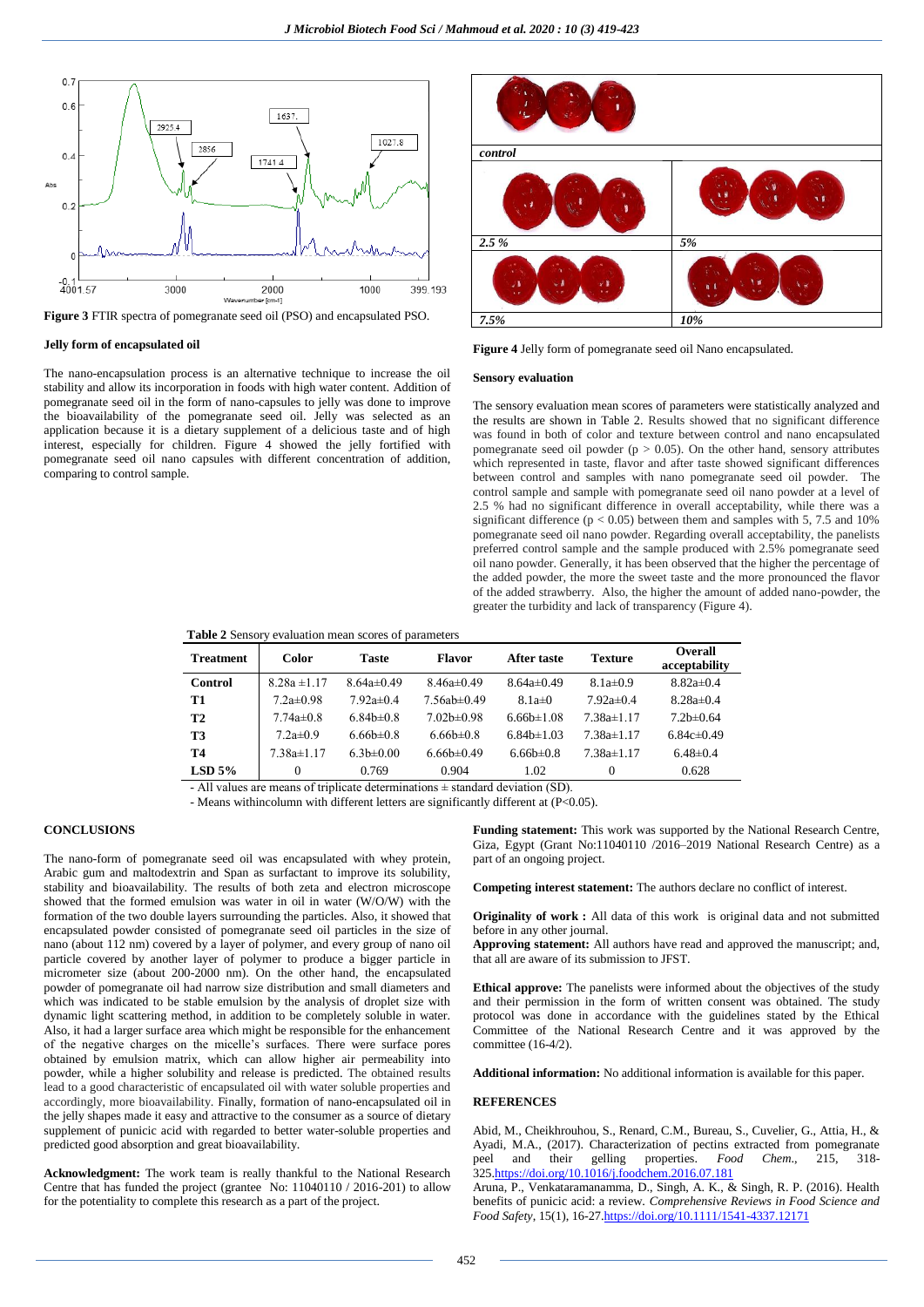

**Figure 3** FTIR spectra of pomegranate seed oil (PSO) and encapsulated PSO.

### **Jelly form of encapsulated oil**

The nano-encapsulation process is an alternative technique to increase the oil stability and allow its incorporation in foods with high water content. Addition of pomegranate seed oil in the form of nano-capsules to jelly was done to improve the bioavailability of the pomegranate seed oil. Jelly was selected as an application because it is a dietary supplement of a delicious taste and of high interest, especially for children. Figure 4 showed the jelly fortified with pomegranate seed oil nano capsules with different concentration of addition, comparing to control sample.



**Figure 4** Jelly form of pomegranate seed oil Nano encapsulated.

#### **Sensory evaluation**

The sensory evaluation mean scores of parameters were statistically analyzed and the results are shown in Table 2. Results showed that no significant difference was found in both of color and texture between control and nano encapsulated pomegranate seed oil powder ( $p > 0.05$ ). On the other hand, sensory attributes which represented in taste, flavor and after taste showed significant differences between control and samples with nano pomegranate seed oil powder. The control sample and sample with pomegranate seed oil nano powder at a level of 2.5 % had no significant difference in overall acceptability, while there was a significant difference ( $p < 0.05$ ) between them and samples with 5, 7.5 and 10% pomegranate seed oil nano powder. Regarding overall acceptability, the panelists preferred control sample and the sample produced with 2.5% pomegranate seed oil nano powder. Generally, it has been observed that the higher the percentage of the added powder, the more the sweet taste and the more pronounced the flavor of the added strawberry. Also, the higher the amount of added nano-powder, the greater the turbidity and lack of transparency (Figure 4).

### **Table 2** Sensory evaluation mean scores of parameters

| <b>Treatment</b> | Color            | <b>Taste</b>     | <b>Flavor</b>     | After taste      | Texture          | <b>Overall</b><br>acceptability |
|------------------|------------------|------------------|-------------------|------------------|------------------|---------------------------------|
| Control          | $8.28a \pm 1.17$ | $8.64a \pm 0.49$ | $8.46a\pm0.49$    | $8.64a \pm 0.49$ | $8.1a \pm 0.9$   | $8.82a \pm 0.4$                 |
| T1               | $7.2a \pm 0.98$  | $7.92a \pm 0.4$  | $7.56ab \pm 0.49$ | $8.1a\pm0$       | $7.92a \pm 0.4$  | $8.28a \pm 0.4$                 |
| <b>T2</b>        | $7.74a \pm 0.8$  | $6.84b \pm 0.8$  | $7.02b \pm 0.98$  | $6.66b \pm 1.08$ | $7.38a \pm 1.17$ | $7.2b \pm 0.64$                 |
| Т3               | $7.2a \pm 0.9$   | $6.66b \pm 0.8$  | $6.66b \pm 0.8$   | $6.84b \pm 1.03$ | $7.38a \pm 1.17$ | $6.84c\pm0.49$                  |
| Т4               | 7.38a±1.17       | $6.3b \pm 0.00$  | $6.66b\pm0.49$    | $6.66b \pm 0.8$  | $7.38a \pm 1.17$ | $6.48\pm0.4$                    |
| $LSD$ 5%         | 0                | 0.769            | 0.904             | 1.02             | 0                | 0.628                           |

- All values are means of triplicate determinations ± standard deviation (SD).

- Means withincolumn with different letters are significantly different at (P<0.05).

# **CONCLUSIONS**

The nano-form of pomegranate seed oil was encapsulated with whey protein, Arabic gum and maltodextrin and Span as surfactant to improve its solubility, stability and bioavailability. The results of both zeta and electron microscope showed that the formed emulsion was water in oil in water (W/O/W) with the formation of the two double layers surrounding the particles. Also, it showed that encapsulated powder consisted of pomegranate seed oil particles in the size of nano (about 112 nm) covered by a layer of polymer, and every group of nano oil particle covered by another layer of polymer to produce a bigger particle in micrometer size (about 200-2000 nm). On the other hand, the encapsulated powder of pomegranate oil had narrow size distribution and small diameters and which was indicated to be stable emulsion by the analysis of droplet size with dynamic light scattering method, in addition to be completely soluble in water. Also, it had a larger surface area which might be responsible for the enhancement of the negative charges on the micelle's surfaces. There were surface pores obtained by emulsion matrix, which can allow higher air permeability into powder, while a higher solubility and release is predicted. The obtained results lead to a good characteristic of encapsulated oil with water soluble properties and accordingly, more bioavailability. Finally, formation of nano-encapsulated oil in the jelly shapes made it easy and attractive to the consumer as a source of dietary supplement of punicic acid with regarded to better water-soluble properties and predicted good absorption and great bioavailability.

**Acknowledgment:** The work team is really thankful to the National Research Centre that has funded the project (grantee No: 11040110 / 2016-201) to allow for the potentiality to complete this research as a part of the project.

**Funding statement:** This work was supported by the National Research Centre, Giza, Egypt (Grant No:11040110 /2016–2019 National Research Centre) as a part of an ongoing project.

**Competing interest statement:** The authors declare no conflict of interest.

**Originality of work :** All data of this work is original data and not submitted before in any other journal.

**Approving statement:** All authors have read and approved the manuscript; and, that all are aware of its submission to JFST.

**Ethical approve:** The panelists were informed about the objectives of the study and their permission in the form of written consent was obtained. The study protocol was done in accordance with the guidelines stated by the Ethical Committee of the National Research Centre and it was approved by the committee (16-4/2).

**Additional information:** No additional information is available for this paper.

#### **REFERENCES**

Abid, M., Cheikhrouhou, S., Renard, C.M., Bureau, S., Cuvelier, G., Attia, H., & Ayadi, M.A., (2017). Characterization of pectins extracted from pomegranate peel and their gelling properties. *Food Chem.*, 215, 318their gelling properties. *Food Chem.*, 215, 318-32[5.https://doi.org/10.1016/j.foodchem.2016.07.181](https://doi.org/10.1016/j.foodchem.2016.07.181)

Aruna, P., Venkataramanamma, D., Singh, A. K., & Singh, R. P. (2016). Health benefits of punicic acid: a review. *Comprehensive Reviews in Food Science and Food Safety*, 15(1), 16-2[7.https://doi.org/10.1111/1541-4337.12171](https://doi.org/10.1111/1541-4337.12171)